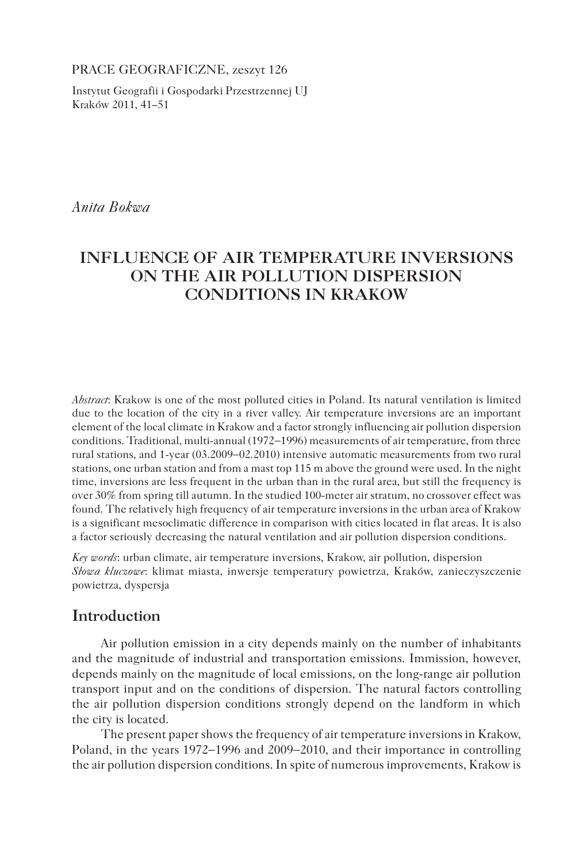PRACE GEOGRAFICZNE, zeszyt 126

Instytut Geografii i Gospodarki Przestrzennej UJ Kraków 2011, 41–51

*Anita Bokwa*

# **INFLUENCE OF AIR TEMPERATURE INVERSIONS ON THE AIR POLLUTION DISPERSION CONDITIONS IN KRAKOW**

*Abstract*: Krakow is one of the most polluted cities in Poland. Its natural ventilation is limited due to the location of the city in a river valley. Air temperature inversions are an important element of the local climate in Krakow and a factor strongly influencing air pollution dispersion conditions. Traditional, multi-annual (1972−1996) measurements of air temperature, from three rural stations, and 1-year (03.2009−02.2010) intensive automatic measurements from two rural stations, one urban station and from a mast top 115 m above the ground were used. In the night time, inversions are less frequent in the urban than in the rural area, but still the frequency is over 30% from spring till autumn. In the studied 100-meter air stratum, no crossover effect was found. The relatively high frequency of air temperature inversions in the urban area of Krakow is a significant mesoclimatic difference in comparison with cities located in flat areas. It is also a factor seriously decreasing the natural ventilation and air pollution dispersion conditions.

*Key words*: urban climate, air temperature inversions, Krakow, air pollution, dispersion *Słowa kluczowe*: klimat miasta, inwersje temperatury powietrza, Kraków, zanieczyszczenie powietrza, dyspersja

# **Introduction**

Air pollution emission in a city depends mainly on the number of inhabitants and the magnitude of industrial and transportation emissions. Immission, however, depends mainly on the magnitude of local emissions, on the long-range air pollution transport input and on the conditions of dispersion. The natural factors controlling the air pollution dispersion conditions strongly depend on the landform in which the city is located.

The present paper shows the frequency of air temperature inversions in Krakow, Poland, in the years 1972−1996 and 2009−2010, and their importance in controlling the air pollution dispersion conditions. In spite of numerous improvements, Krakow is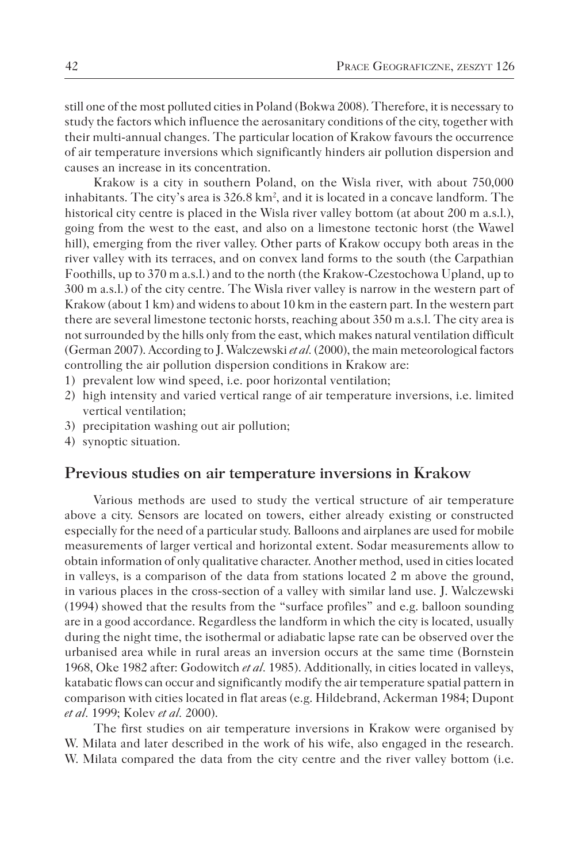still one of the most polluted cities in Poland (Bokwa 2008). Therefore, it is necessary to study the factors which influence the aerosanitary conditions of the city, together with their multi-annual changes. The particular location of Krakow favours the occurrence of air temperature inversions which significantly hinders air pollution dispersion and causes an increase in its concentration.

Krakow is a city in southern Poland, on the Wisla river, with about 750,000 inhabitants. The city's area is  $326.8 \text{ km}^2$ , and it is located in a concave landform. The historical city centre is placed in the Wisla river valley bottom (at about 200 m a.s.l.), going from the west to the east, and also on a limestone tectonic horst (the Wawel hill), emerging from the river valley. Other parts of Krakow occupy both areas in the river valley with its terraces, and on convex land forms to the south (the Carpathian Foothills, up to 370 m a.s.l.) and to the north (the Krakow-Czestochowa Upland, up to 300 m a.s.l.) of the city centre. The Wisla river valley is narrow in the western part of Krakow (about 1 km) and widens to about 10 km in the eastern part. In the western part there are several limestone tectonic horsts, reaching about 350 m a.s.l. The city area is not surrounded by the hills only from the east, which makes natural ventilation difficult (German 2007). According to J. Walczewski *et al.* (2000), the main meteorological factors controlling the air pollution dispersion conditions in Krakow are:

- 1) prevalent low wind speed, i.e. poor horizontal ventilation;
- 2) high intensity and varied vertical range of air temperature inversions, i.e. limited vertical ventilation;
- 3) precipitation washing out air pollution;
- 4) synoptic situation.

### **Previous studies on air temperature inversions in Krakow**

Various methods are used to study the vertical structure of air temperature above a city. Sensors are located on towers, either already existing or constructed especially for the need of a particular study. Balloons and airplanes are used for mobile measurements of larger vertical and horizontal extent. Sodar measurements allow to obtain information of only qualitative character. Another method, used in cities located in valleys, is a comparison of the data from stations located 2 m above the ground, in various places in the cross-section of a valley with similar land use. J. Walczewski (1994) showed that the results from the "surface profiles" and e.g. balloon sounding are in a good accordance. Regardless the landform in which the city is located, usually during the night time, the isothermal or adiabatic lapse rate can be observed over the urbanised area while in rural areas an inversion occurs at the same time (Bornstein 1968, Oke 1982 after: Godowitch *et al.* 1985). Additionally, in cities located in valleys, katabatic flows can occur and significantly modify the air temperature spatial pattern in comparison with cities located in flat areas (e.g. Hildebrand, Ackerman 1984; Dupont *et al.* 1999; Kolev *et al.* 2000).

The first studies on air temperature inversions in Krakow were organised by W. Milata and later described in the work of his wife, also engaged in the research. W. Milata compared the data from the city centre and the river valley bottom (i.e.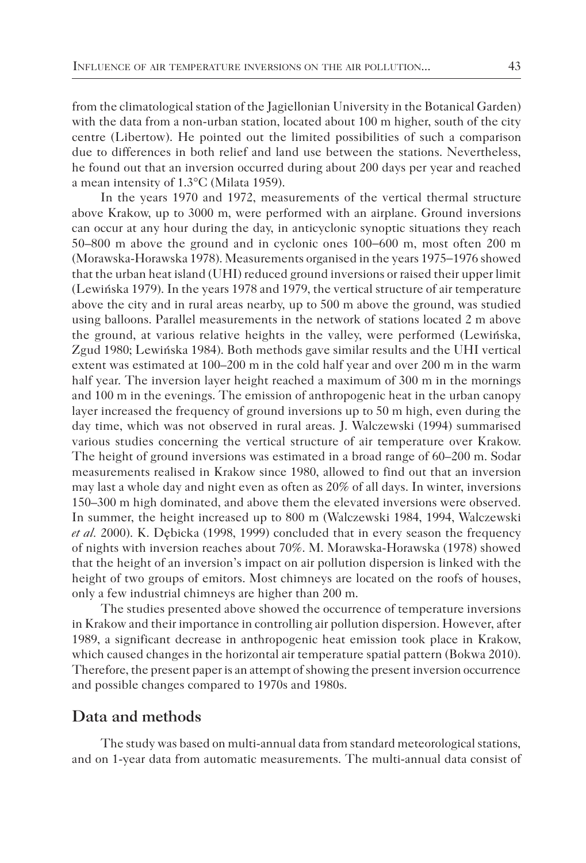from the climatological station of the Jagiellonian University in the Botanical Garden) with the data from a non-urban station, located about 100 m higher, south of the city centre (Libertow). He pointed out the limited possibilities of such a comparison due to differences in both relief and land use between the stations. Nevertheless, he found out that an inversion occurred during about 200 days per year and reached a mean intensity of 1.3°C (Milata 1959).

In the years 1970 and 1972, measurements of the vertical thermal structure above Krakow, up to 3000 m, were performed with an airplane. Ground inversions can occur at any hour during the day, in anticyclonic synoptic situations they reach 50–800 m above the ground and in cyclonic ones 100−600 m, most often 200 m (Morawska-Horawska 1978). Measurements organised in the years 1975−1976 showed that the urban heat island (UHI) reduced ground inversions or raised their upper limit (Lewińska 1979). In the years 1978 and 1979, the vertical structure of air temperature above the city and in rural areas nearby, up to 500 m above the ground, was studied using balloons. Parallel measurements in the network of stations located 2 m above the ground, at various relative heights in the valley, were performed (Lewińska, Zgud 1980; Lewińska 1984). Both methods gave similar results and the UHI vertical extent was estimated at 100–200 m in the cold half year and over 200 m in the warm half year. The inversion layer height reached a maximum of 300 m in the mornings and 100 m in the evenings. The emission of anthropogenic heat in the urban canopy layer increased the frequency of ground inversions up to 50 m high, even during the day time, which was not observed in rural areas. J. Walczewski (1994) summarised various studies concerning the vertical structure of air temperature over Krakow. The height of ground inversions was estimated in a broad range of 60–200 m. Sodar measurements realised in Krakow since 1980, allowed to find out that an inversion may last a whole day and night even as often as 20% of all days. In winter, inversions 150–300 m high dominated, and above them the elevated inversions were observed. In summer, the height increased up to 800 m (Walczewski 1984, 1994, Walczewski *et al.* 2000). K. Dębicka (1998, 1999) concluded that in every season the frequency of nights with inversion reaches about 70%. M. Morawska-Horawska (1978) showed that the height of an inversion's impact on air pollution dispersion is linked with the height of two groups of emitors. Most chimneys are located on the roofs of houses, only a few industrial chimneys are higher than 200 m.

The studies presented above showed the occurrence of temperature inversions in Krakow and their importance in controlling air pollution dispersion. However, after 1989, a significant decrease in anthropogenic heat emission took place in Krakow, which caused changes in the horizontal air temperature spatial pattern (Bokwa 2010). Therefore, the present paper is an attempt of showing the present inversion occurrence and possible changes compared to 1970s and 1980s.

## **Data and methods**

The study was based on multi-annual data from standard meteorological stations, and on 1-year data from automatic measurements. The multi-annual data consist of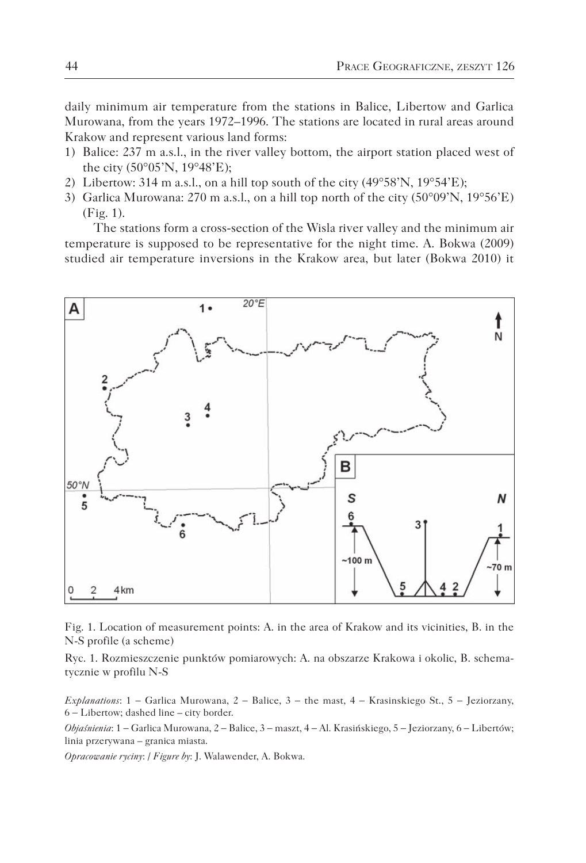daily minimum air temperature from the stations in Balice, Libertow and Garlica Murowana, from the years 1972–1996. The stations are located in rural areas around Krakow and represent various land forms:

- 1) Balice: 237 m a.s.l., in the river valley bottom, the airport station placed west of the city (50°05'N, 19°48'E);
- 2) Libertow: 314 m a.s.l., on a hill top south of the city  $(49^{\circ}58'N, 19^{\circ}54'E)$ ;
- 3) Garlica Murowana: 270 m a.s.l., on a hill top north of the city (50°09'N, 19°56'E) (Fig. 1).

The stations form a cross-section of the Wisla river valley and the minimum air temperature is supposed to be representative for the night time. A. Bokwa (2009) studied air temperature inversions in the Krakow area, but later (Bokwa 2010) it



Fig. 1. Location of measurement points: A. in the area of Krakow and its vicinities, B. in the N-S profile (a scheme)

Ryc. 1. Rozmieszczenie punktów pomiarowych: A. na obszarze Krakowa i okolic, B. schematycznie w profilu N-S

*Explanations*: 1 − Garlica Murowana, 2 − Balice, 3 − the mast, 4 − Krasinskiego St., 5 − Jeziorzany, 6 − Libertow; dashed line – city border.

*Objaśnienia*: 1 − Garlica Murowana, 2 − Balice, 3 − maszt, 4 − Al. Krasińskiego, 5 − Jeziorzany, 6 − Libertów; linia przerywana – granica miasta.

*Opracowanie ryciny*: / *Figure by*: J. Walawender, A. Bokwa.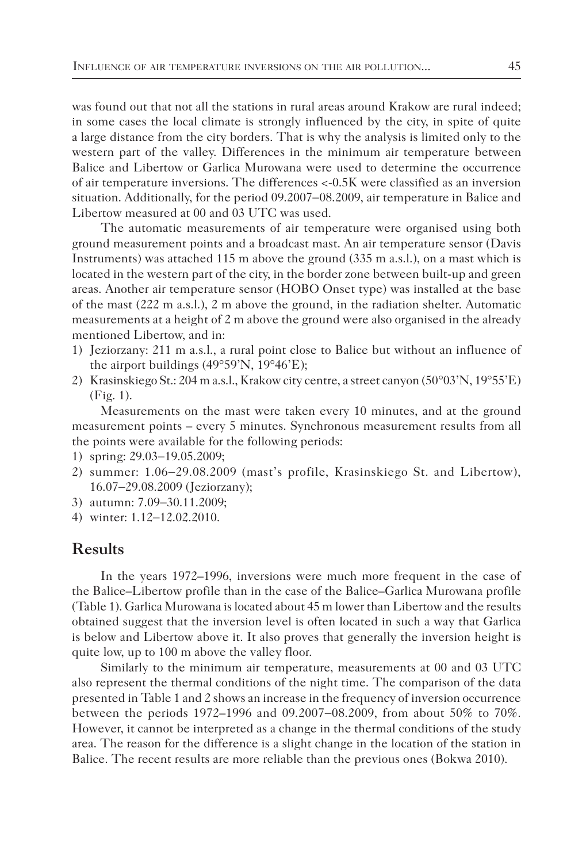was found out that not all the stations in rural areas around Krakow are rural indeed; in some cases the local climate is strongly influenced by the city, in spite of quite a large distance from the city borders. That is why the analysis is limited only to the western part of the valley. Differences in the minimum air temperature between Balice and Libertow or Garlica Murowana were used to determine the occurrence of air temperature inversions. The differences <-0.5K were classified as an inversion situation. Additionally, for the period 09.2007−08.2009, air temperature in Balice and Libertow measured at 00 and 03 UTC was used.

The automatic measurements of air temperature were organised using both ground measurement points and a broadcast mast. An air temperature sensor (Davis Instruments) was attached 115 m above the ground (335 m a.s.l.), on a mast which is located in the western part of the city, in the border zone between built-up and green areas. Another air temperature sensor (HOBO Onset type) was installed at the base of the mast (222 m a.s.l.), 2 m above the ground, in the radiation shelter. Automatic measurements at a height of 2 m above the ground were also organised in the already mentioned Libertow, and in:

- 1) Jeziorzany: 211 m a.s.l., a rural point close to Balice but without an influence of the airport buildings (49°59'N, 19°46'E);
- 2) Krasinskiego St.: 204 m a.s.l., Krakow city centre, a street canyon (50°03'N, 19°55'E) (Fig. 1).

Measurements on the mast were taken every 10 minutes, and at the ground measurement points – every 5 minutes. Synchronous measurement results from all the points were available for the following periods:

- 1) spring: 29.03−19.05.2009;
- 2) summer: 1.06−29.08.2009 (mast's profile, Krasinskiego St. and Libertow), 16.07−29.08.2009 (Jeziorzany);
- 3) autumn: 7.09−30.11.2009;
- 4) winter: 1.12−12.02.2010.

## **Results**

In the years 1972–1996, inversions were much more frequent in the case of the Balice–Libertow profile than in the case of the Balice–Garlica Murowana profile (Table 1). Garlica Murowana is located about 45 m lower than Libertow and the results obtained suggest that the inversion level is often located in such a way that Garlica is below and Libertow above it. It also proves that generally the inversion height is quite low, up to 100 m above the valley floor.

Similarly to the minimum air temperature, measurements at 00 and 03 UTC also represent the thermal conditions of the night time. The comparison of the data presented in Table 1 and 2 shows an increase in the frequency of inversion occurrence between the periods 1972–1996 and 09.2007−08.2009, from about 50% to 70%. However, it cannot be interpreted as a change in the thermal conditions of the study area. The reason for the difference is a slight change in the location of the station in Balice. The recent results are more reliable than the previous ones (Bokwa 2010).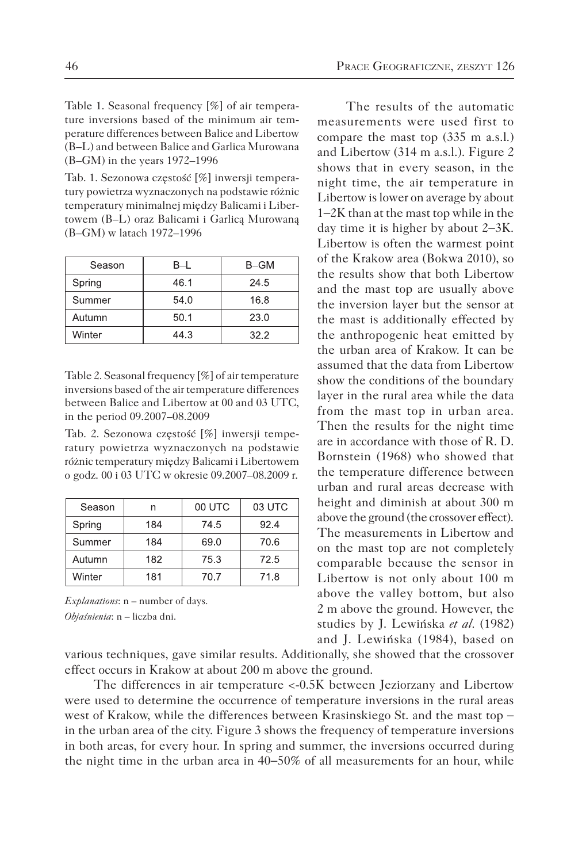Table 1. Seasonal frequency [%] of air temperature inversions based of the minimum air temperature differences between Balice and Libertow (B–L) and between Balice and Garlica Murowana (B–GM) in the years 1972–1996

Tab. 1. Sezonowa częstość [%] inwersji temperatury powietrza wyznaczonych na podstawie różnic temperatury minimalnej między Balicami i Libertowem (B–L) oraz Balicami i Garlicą Murowaną (B–GM) w latach 1972–1996

| Season | B-L  | B-GM |  |  |
|--------|------|------|--|--|
| Spring | 46.1 | 24.5 |  |  |
| Summer | 54.0 | 16.8 |  |  |
| Autumn | 50.1 | 23.0 |  |  |
| Winter | 44.3 | 32.2 |  |  |

Table 2. Seasonal frequency [%] of air temperature inversions based of the air temperature differences between Balice and Libertow at 00 and 03 UTC, in the period 09.2007–08.2009

Tab. 2. Sezonowa częstość [%] inwersji temperatury powietrza wyznaczonych na podstawie różnic temperatury między Balicami i Libertowem o godz. 00 i 03 UTC w okresie 09.2007–08.2009 r.

| Season |     | 00 UTC | 03 UTC |
|--------|-----|--------|--------|
| Spring | 184 | 74.5   | 92.4   |
| Summer | 184 | 69.0   | 70.6   |
| Autumn | 182 | 75.3   | 72.5   |
| Winter | 181 | 70.7   | 71.8   |

*Explanations*: n – number of days. *Objaśnienia*: n – liczba dni.

The results of the automatic measurements were used first to compare the mast top (335 m a.s.l.) and Libertow (314 m a.s.l.). Figure 2 shows that in every season, in the night time, the air temperature in Libertow is lower on average by about 1−2K than at the mast top while in the day time it is higher by about 2−3K. Libertow is often the warmest point of the Krakow area (Bokwa 2010), so the results show that both Libertow and the mast top are usually above the inversion layer but the sensor at the mast is additionally effected by the anthropogenic heat emitted by the urban area of Krakow. It can be assumed that the data from Libertow show the conditions of the boundary layer in the rural area while the data from the mast top in urban area. Then the results for the night time are in accordance with those of R. D. Bornstein (1968) who showed that the temperature difference between urban and rural areas decrease with height and diminish at about 300 m above the ground (the crossover effect). The measurements in Libertow and on the mast top are not completely comparable because the sensor in Libertow is not only about 100 m above the valley bottom, but also 2 m above the ground. However, the studies by J. Lewińska *et al.* (1982) and J. Lewińska (1984), based on

various techniques, gave similar results. Additionally, she showed that the crossover effect occurs in Krakow at about 200 m above the ground.

The differences in air temperature <-0.5K between Jeziorzany and Libertow were used to determine the occurrence of temperature inversions in the rural areas west of Krakow, while the differences between Krasinskiego St. and the mast top − in the urban area of the city. Figure 3 shows the frequency of temperature inversions in both areas, for every hour. In spring and summer, the inversions occurred during the night time in the urban area in 40−50% of all measurements for an hour, while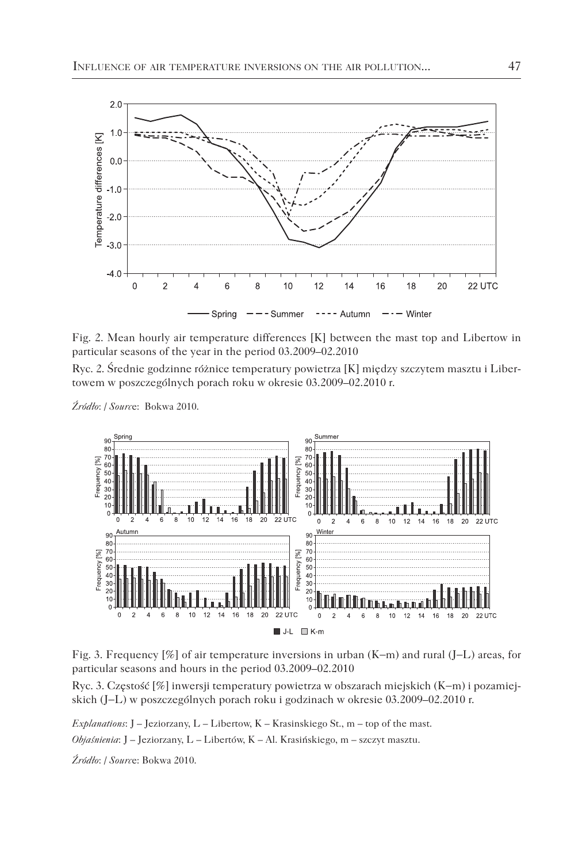

Fig. 2. Mean hourly air temperature differences [K] between the mast top and Libertow in particular seasons of the year in the period 03.2009–02.2010

Ryc. 2. Średnie godzinne różnice temperatury powietrza [K] między szczytem masztu i Libertowem w poszczególnych porach roku w okresie 03.2009–02.2010 r.

*Źródło*: / *Sourc*e: Bokwa 2010.



Fig. 3. Frequency [%] of air temperature inversions in urban (K−m) and rural (J−L) areas, for particular seasons and hours in the period 03.2009–02.2010

Ryc. 3. Częstość [%] inwersji temperatury powietrza w obszarach miejskich (K−m) i pozamiejskich (J−L) w poszczególnych porach roku i godzinach w okresie 03.2009–02.2010 r.

*Explanations*: J – Jeziorzany, L – Libertow, K – Krasinskiego St., m – top of the mast. *Objaśnienia*: J – Jeziorzany, L – Libertów, K – Al. Krasińskiego, m – szczyt masztu.

*Źródło*: / *Sourc*e: Bokwa 2010.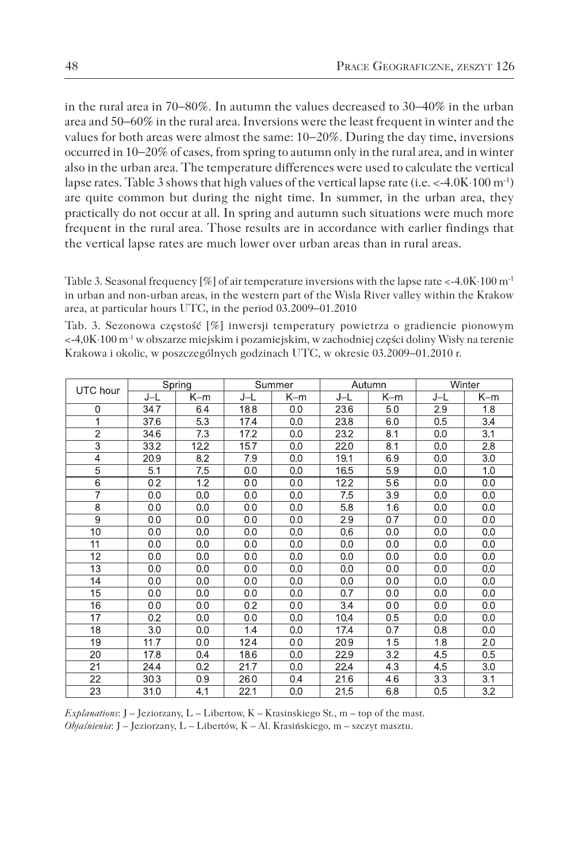in the rural area in 70−80%. In autumn the values decreased to 30−40% in the urban area and 50−60% in the rural area. Inversions were the least frequent in winter and the values for both areas were almost the same: 10−20%. During the day time, inversions occurred in 10−20% of cases, from spring to autumn only in the rural area, and in winter also in the urban area. The temperature differences were used to calculate the vertical lapse rates. Table 3 shows that high values of the vertical lapse rate (i.e. <-4.0K⋅100 m-1) are quite common but during the night time. In summer, in the urban area, they practically do not occur at all. In spring and autumn such situations were much more frequent in the rural area. Those results are in accordance with earlier findings that the vertical lapse rates are much lower over urban areas than in rural areas.

Table 3. Seasonal frequency [%] of air temperature inversions with the lapse rate <-4.0K⋅100 m<sup>-1</sup> in urban and non-urban areas, in the western part of the Wisla River valley within the Krakow area, at particular hours UTC, in the period 03.2009−01.2010

Tab. 3. Sezonowa częstość [%] inwersji temperatury powietrza o gradiencie pionowym <-4,0K⋅100 m-1 w obszarze miejskim i pozamiejskim, w zachodniej części doliny Wisły na terenie Krakowa i okolic, w poszczególnych godzinach UTC, w okresie 03.2009−01.2010 r.

| UTC hour        | Spring |      | Summer |     | Autumn |     | Winter |       |
|-----------------|--------|------|--------|-----|--------|-----|--------|-------|
|                 | J-L    | K-m  | J-L    | K-m | J-L    | K-m | J-L    | $K-m$ |
| 0               | 34.7   | 6.4  | 18.8   | 0.0 | 23.6   | 5.0 | 2.9    | 1.8   |
| 1               | 37.6   | 5.3  | 17.4   | 0.0 | 23.8   | 6.0 | 0.5    | 3.4   |
| $\overline{2}$  | 34.6   | 7.3  | 17.2   | 0.0 | 232    | 8.1 | 0.0    | 3.1   |
| $\overline{3}$  | 332    | 12.2 | 15.7   | 0.0 | 220    | 8.1 | 0.0    | 2.8   |
| 4               | 20.9   | 8.2  | 7.9    | 0.0 | 19.1   | 6.9 | 0.0    | 3.0   |
| 5               | 5.1    | 7.5  | 0.0    | 0.0 | 165    | 5.9 | 0.0    | 1.0   |
| 6               | 0.2    | 1.2  | 0.0    | 0.0 | 122    | 5.6 | 0.0    | 0.0   |
| 7               | 0.0    | 0.0  | 0.0    | 0.0 | 7.5    | 3.9 | 0.0    | 0.0   |
| 8               | 0.0    | 0.0  | 0.0    | 0.0 | 5.8    | 1.6 | 0.0    | 0.0   |
| $\overline{9}$  | 0.0    | 0.0  | 0.0    | 0.0 | 2.9    | 0.7 | 0.0    | 0.0   |
| 10              | 0.0    | 0.0  | 0.0    | 0.0 | 0.6    | 0.0 | 0.0    | 0.0   |
| 11              | 0.0    | 0.0  | 0.0    | 0.0 | 0.0    | 0.0 | 0.0    | 0.0   |
| 12              | 0.0    | 0.0  | 0.0    | 0.0 | 0.0    | 0.0 | 0.0    | 0.0   |
| 13              | 0.0    | 0.0  | 0.0    | 0.0 | 0.0    | 0.0 | 0.0    | 0.0   |
| 14              | 0.0    | 0.0  | 0.0    | 0.0 | 0.0    | 0.0 | 0.0    | 0.0   |
| 15              | 0.0    | 0.0  | 0.0    | 0.0 | 0.7    | 0.0 | 0.0    | 0.0   |
| 16              | 0.0    | 0.0  | 0.2    | 0.0 | 3.4    | 0.0 | 0.0    | 0.0   |
| $\overline{17}$ | 0.2    | 0.0  | 0.0    | 0.0 | 10.4   | 0.5 | 0.0    | 0.0   |
| 18              | 3.0    | 0.0  | 1.4    | 0.0 | 17.4   | 0.7 | 0.8    | 0.0   |
| 19              | 11.7   | 0.0  | 12.4   | 0.0 | 20.9   | 1.5 | 1.8    | 2.0   |
| 20              | 17.8   | 0.4  | 186    | 0.0 | 229    | 3.2 | 4.5    | 0.5   |
| 21              | 24.4   | 0.2  | 21.7   | 0.0 | 224    | 4.3 | 4.5    | 3.0   |
| 22              | 30.3   | 0.9  | 26.0   | 0.4 | 21.6   | 4.6 | 3.3    | 3.1   |
| 23              | 31.0   | 4.1  | 22.1   | 0.0 | 21.5   | 6.8 | 0.5    | 3.2   |

*Explanations*: J – Jeziorzany, L – Libertow, K – Krasinskiego St., m – top of the mast. *Objaśnienia*: J – Jeziorzany, L – Libertów, K – Al. Krasińskiego, m – szczyt masztu.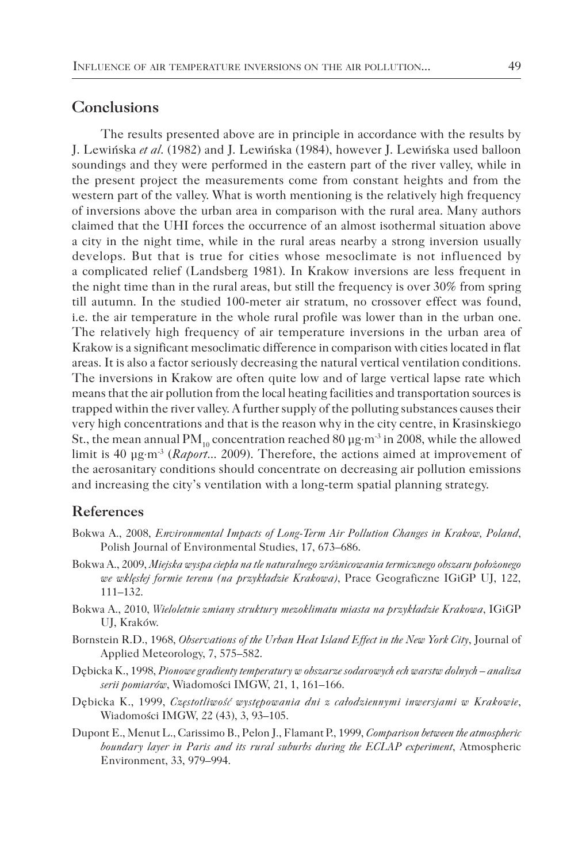## **Conclusions**

The results presented above are in principle in accordance with the results by J. Lewińska *et al*. (1982) and J. Lewińska (1984), however J. Lewińska used balloon soundings and they were performed in the eastern part of the river valley, while in the present project the measurements come from constant heights and from the western part of the valley. What is worth mentioning is the relatively high frequency of inversions above the urban area in comparison with the rural area. Many authors claimed that the UHI forces the occurrence of an almost isothermal situation above a city in the night time, while in the rural areas nearby a strong inversion usually develops. But that is true for cities whose mesoclimate is not influenced by a complicated relief (Landsberg 1981). In Krakow inversions are less frequent in the night time than in the rural areas, but still the frequency is over 30% from spring till autumn. In the studied 100-meter air stratum, no crossover effect was found, i.e. the air temperature in the whole rural profile was lower than in the urban one. The relatively high frequency of air temperature inversions in the urban area of Krakow is a significant mesoclimatic difference in comparison with cities located in flat areas. It is also a factor seriously decreasing the natural vertical ventilation conditions. The inversions in Krakow are often quite low and of large vertical lapse rate which means that the air pollution from the local heating facilities and transportation sources is trapped within the river valley. A further supply of the polluting substances causes their very high concentrations and that is the reason why in the city centre, in Krasinskiego St., the mean annual PM<sub>10</sub> concentration reached 80  $\mu$ g⋅m<sup>-3</sup> in 2008, while the allowed limit is 40 µg⋅m-3 (*Raport*... 2009). Therefore, the actions aimed at improvement of the aerosanitary conditions should concentrate on decreasing air pollution emissions and increasing the city's ventilation with a long-term spatial planning strategy.

#### **References**

- Bokwa A., 2008, *Environmental Impacts of Long-Term Air Pollution Changes in Krakow, Poland*, Polish Journal of Environmental Studies, 17, 673–686.
- Bokwa A., 2009, *Miejska wyspa ciepła na tle naturalnego zróżnicowania termicznego obszaru położonego we wklęsłej formie terenu (na przykładzie Krakowa)*, Prace Geograficzne IGiGP UJ, 122, 111–132.
- Bokwa A., 2010, *Wieloletnie zmiany struktury mezoklimatu miasta na przykładzie Krakowa*, IGiGP UJ, Kraków.
- Bornstein R.D., 1968, *Observations of the Urban Heat Island Effect in the New York City*, Journal of Applied Meteorology, 7, 575–582.
- Dębicka K., 1998, *Pionowe gradienty temperatury w obszarze sodarowych ech warstw dolnych analiza serii pomiarów*, Wiadomości IMGW, 21, 1, 161–166.
- Dębicka K., 1999, *Częstotliwość występowania dni z całodziennymi inwersjami w Krakowie*, Wiadomości IMGW, 22 (43), 3, 93–105.
- Dupont E., Menut L., Carissimo B., Pelon J., Flamant P., 1999, *Comparison between the atmospheric boundary layer in Paris and its rural suburbs during the ECLAP experiment*, Atmospheric Environment, 33, 979–994.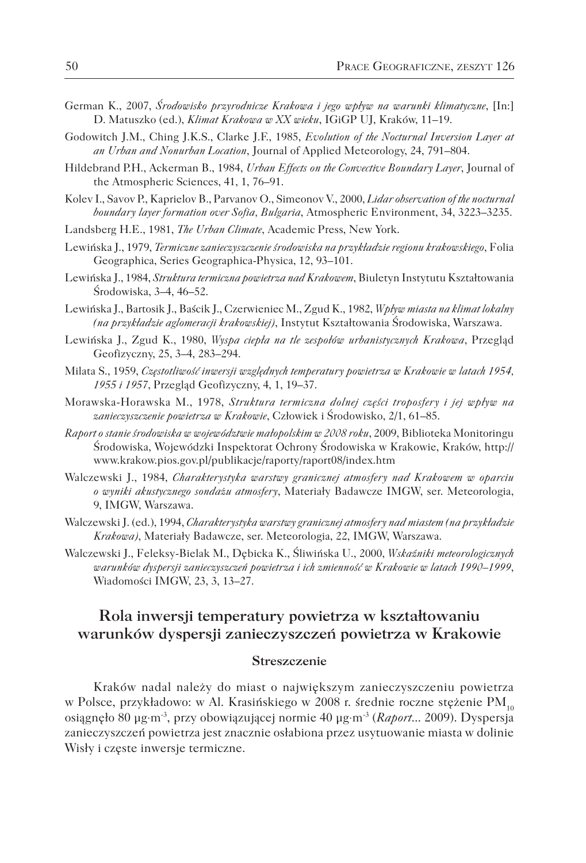- German K., 2007, *Środowisko przyrodnicze Krakowa i jego wpływ na warunki klimatyczne*, [In:] D. Matuszko (ed.), *Klimat Krakowa w XX wieku*, IGiGP UJ, Kraków, 11–19.
- Godowitch J.M., Ching J.K.S., Clarke J.F., 1985, *Evolution of the Nocturnal Inversion Layer at an Urban and Nonurban Location*, Journal of Applied Meteorology, 24, 791–804.
- Hildebrand P.H., Ackerman B., 1984, *Urban Effects on the Convective Boundary Layer*, Journal of the Atmospheric Sciences, 41, 1, 76–91.
- Kolev I., Savov P., Kaprielov B., Parvanov O., Simeonov V., 2000, *Lidar observation of the nocturnal boundary layer formation over Sofia, Bulgaria*, Atmospheric Environment, 34, 3223–3235.
- Landsberg H.E., 1981, *The Urban Climate*, Academic Press, New York.
- Lewińska J., 1979, *Termiczne zanieczyszczenie środowiska na przykładzie regionu krakowskiego*, Folia Geographica, Series Geographica-Physica, 12, 93–101.
- Lewińska J., 1984, *Struktura termiczna powietrza nad Krakowem*, Biuletyn Instytutu Kształtowania Środowiska, 3–4, 46–52.
- Lewińska J., Bartosik J., Baścik J., Czerwieniec M., Zgud K., 1982, *Wpływ miasta na klimat lokalny (na przykładzie aglomeracji krakowskiej)*, Instytut Kształtowania Środowiska, Warszawa.
- Lewińska J., Zgud K., 1980, *Wyspa ciepła na tle zespołów urbanistycznych Krakowa*, Przegląd Geofizyczny, 25, 3–4, 283–294.
- Milata S., 1959, *Częstotliwość inwersji względnych temperatury powietrza w Krakowie w latach 1954, 1955 i 1957*, Przegląd Geofizyczny, 4, 1, 19–37.
- Morawska-Horawska M., 1978, *Struktura termiczna dolnej części troposfery i jej wpływ na zanieczyszczenie powietrza w Krakowie*, Człowiek i Środowisko, 2/1, 61–85.
- *Raport o stanie środowiska w województwie małopolskim w 2008 roku*, 2009, Biblioteka Monitoringu Środowiska, Wojewódzki Inspektorat Ochrony Środowiska w Krakowie, Kraków, http:// www.krakow.pios.gov.pl/publikacje/raporty/raport08/index.htm
- Walczewski J., 1984, *Charakterystyka warstwy granicznej atmosfery nad Krakowem w oparciu o wyniki akustycznego sondażu atmosfery*, Materiały Badawcze IMGW, ser. Meteorologia, 9, IMGW, Warszawa.
- Walczewski J. (ed.), 1994, *Charakterystyka warstwy granicznej atmosfery nad miastem (na przykładzie Krakowa)*, Materiały Badawcze, ser. Meteorologia, 22, IMGW, Warszawa.
- Walczewski J., Feleksy-Bielak M., Dębicka K., Śliwińska U., 2000, *Wskaźniki meteorologicznych warunków dyspersji zanieczyszczeń powietrza i ich zmienność w Krakowie w latach 1990–1999*, Wiadomości IMGW, 23, 3, 13–27.

## **Rola inwersji temperatury powietrza w kształtowaniu warunków dyspersji zanieczyszczeń powietrza w Krakowie**

#### **Streszczenie**

Kraków nadal należy do miast o największym zanieczyszczeniu powietrza w Polsce, przykładowo: w Al. Krasińskiego w 2008 r. średnie roczne stężenie PM<sub>10</sub> osiągnęło 80 µg⋅m-3, przy obowiązującej normie 40 µg⋅m-3 (*Raport*... 2009). Dyspersja zanieczyszczeń powietrza jest znacznie osłabiona przez usytuowanie miasta w dolinie Wisły i częste inwersje termiczne.